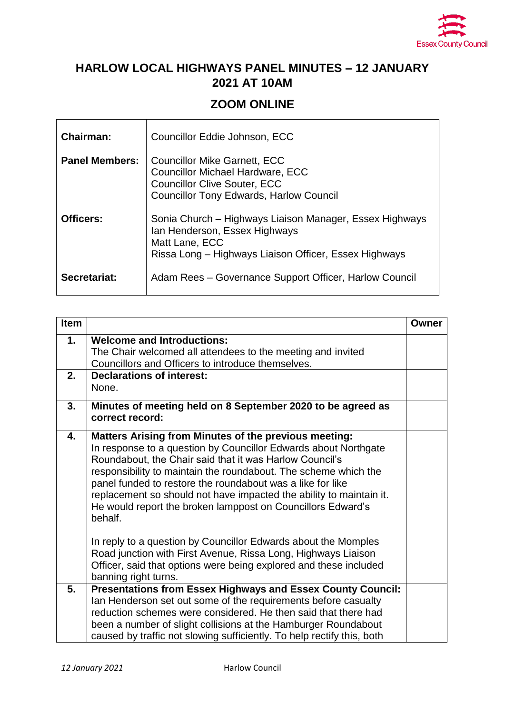

## **HARLOW LOCAL HIGHWAYS PANEL MINUTES – 12 JANUARY 2021 AT 10AM**

## **ZOOM ONLINE**

| <b>Chairman:</b>      | Councillor Eddie Johnson, ECC                                                                                                                                           |
|-----------------------|-------------------------------------------------------------------------------------------------------------------------------------------------------------------------|
| <b>Panel Members:</b> | <b>Councillor Mike Garnett, ECC</b><br><b>Councillor Michael Hardware, ECC</b><br><b>Councillor Clive Souter, ECC</b><br><b>Councillor Tony Edwards, Harlow Council</b> |
| Officers:             | Sonia Church – Highways Liaison Manager, Essex Highways<br>Ian Henderson, Essex Highways<br>Matt Lane, ECC<br>Rissa Long – Highways Liaison Officer, Essex Highways     |
| Secretariat:          | Adam Rees - Governance Support Officer, Harlow Council                                                                                                                  |

| <b>Item</b> |                                                                                                                                                                                                                                                                                                                                                                                                                                                                              | Owner |
|-------------|------------------------------------------------------------------------------------------------------------------------------------------------------------------------------------------------------------------------------------------------------------------------------------------------------------------------------------------------------------------------------------------------------------------------------------------------------------------------------|-------|
| 1.          | <b>Welcome and Introductions:</b><br>The Chair welcomed all attendees to the meeting and invited<br>Councillors and Officers to introduce themselves.                                                                                                                                                                                                                                                                                                                        |       |
| 2.          | <b>Declarations of interest:</b><br>None.                                                                                                                                                                                                                                                                                                                                                                                                                                    |       |
| 3.          | Minutes of meeting held on 8 September 2020 to be agreed as<br>correct record:                                                                                                                                                                                                                                                                                                                                                                                               |       |
| 4.          | <b>Matters Arising from Minutes of the previous meeting:</b><br>In response to a question by Councillor Edwards about Northgate<br>Roundabout, the Chair said that it was Harlow Council's<br>responsibility to maintain the roundabout. The scheme which the<br>panel funded to restore the roundabout was a like for like<br>replacement so should not have impacted the ability to maintain it.<br>He would report the broken lamppost on Councillors Edward's<br>behalf. |       |
|             | In reply to a question by Councillor Edwards about the Momples<br>Road junction with First Avenue, Rissa Long, Highways Liaison<br>Officer, said that options were being explored and these included<br>banning right turns.                                                                                                                                                                                                                                                 |       |
| 5.          | <b>Presentations from Essex Highways and Essex County Council:</b><br>Ian Henderson set out some of the requirements before casualty<br>reduction schemes were considered. He then said that there had<br>been a number of slight collisions at the Hamburger Roundabout<br>caused by traffic not slowing sufficiently. To help rectify this, both                                                                                                                           |       |

 $\mathbf{r}$